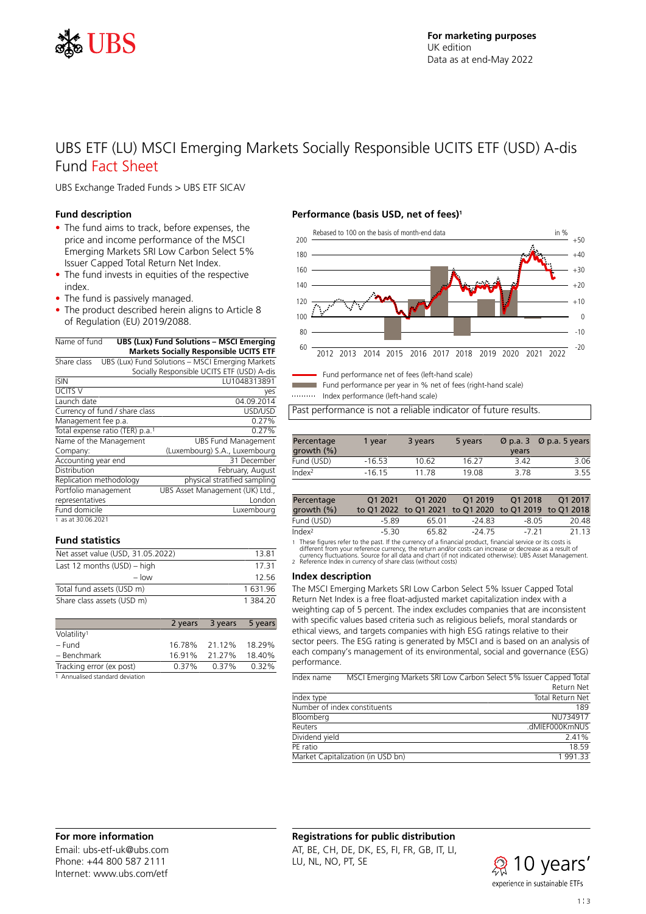

# UBS ETF (LU) MSCI Emerging Markets Socially Responsible UCITS ETF (USD) A-dis Fund Fact Sheet

UBS Exchange Traded Funds > UBS ETF SICAV

## **Fund description**

- The fund aims to track, before expenses, the price and income performance of the MSCI Emerging Markets SRI Low Carbon Select 5% Issuer Capped Total Return Net Index.
- The fund invests in equities of the respective index.
- The fund is passively managed.
- The product described herein aligns to Article 8 of Regulation (EU) 2019/2088.

| Name of fund                                | <b>UBS (Lux) Fund Solutions - MSCI Emerging</b>  |
|---------------------------------------------|--------------------------------------------------|
|                                             | <b>Markets Socially Responsible UCITS ETF</b>    |
| Share class                                 | UBS (Lux) Fund Solutions - MSCI Emerging Markets |
|                                             | Socially Responsible UCITS ETF (USD) A-dis       |
| <b>ISIN</b>                                 | LU1048313891                                     |
| <b>UCITS V</b>                              | yes                                              |
| Launch date                                 | 04.09.2014                                       |
| Currency of fund / share class              | USD/USD                                          |
| Management fee p.a.                         | 0.27%                                            |
| Total expense ratio (TER) p.a. <sup>1</sup> | 0.27%                                            |
| Name of the Management                      | <b>UBS Fund Management</b>                       |
| Company:                                    | (Luxembourg) S.A., Luxembourg                    |
| Accounting year end                         | 31 December                                      |
| Distribution                                | February, August                                 |
| Replication methodology                     | physical stratified sampling                     |
| Portfolio management                        | UBS Asset Management (UK) Ltd.,                  |
| representatives                             | London                                           |
| Fund domicile                               | Luxembourg                                       |

### 1 as at 30.06.2021

# **Fund statistics**

| Net asset value (USD, 31.05.2022) | 13.81    |
|-----------------------------------|----------|
| Last 12 months $(USD)$ – high     | 17 31    |
| $-$ low                           | 12.56    |
| Total fund assets (USD m)         | 1631.96  |
| Share class assets (USD m)        | 1 384 20 |

|                                 |        | 2 years 3 years | 5 years |
|---------------------------------|--------|-----------------|---------|
| Volatility <sup>1</sup>         |        |                 |         |
| – Fund                          |        | 16.78% 21.12%   | 18.29%  |
| - Benchmark                     | 16.91% | 21.27%          | 18.40%  |
| Tracking error (ex post)        | 0.37%  | 0.37%           | 0.32%   |
| 1 Annualised standard deviation |        |                 |         |

### **Performance (basis USD, net of fees)<sup>1</sup>**



Fund performance net of fees (left-hand scale)

Fund performance per year in % net of fees (right-hand scale)

Index performance (left-hand scale)

Past performance is not a reliable indicator of future results.

| Percentage<br>growth $(\% )$ | 1 vear   | 3 years | 5 years | vears | $\varnothing$ p.a. 3 $\varnothing$ p.a. 5 years |
|------------------------------|----------|---------|---------|-------|-------------------------------------------------|
| Fund (USD)                   | $-16.53$ | 10.62   | 16.27   | 3.42  | 3.06                                            |
| Index <sup>2</sup>           | $-1615$  | 11 78   | 19.08   | 378   | 355                                             |

| Percentage<br>growth (%) | O1 2021 | O1 2020 | O1 2019<br>to Q1 2022 to Q1 2021 to Q1 2020 to Q1 2019 to Q1 2018 | O1 2018 | O1 2017 |
|--------------------------|---------|---------|-------------------------------------------------------------------|---------|---------|
| Fund (USD)               | -5.89   | 65 O1   | $-2483$                                                           | -8.05   | 20.48   |
| Index <sup>2</sup>       | -5.30   | 65.82   | $-2475$                                                           | -7 21   | 21 13   |

1 These figures refer to the past. If the currency of a financial product, financial service or its costs is<br>different from your reference currency, the return and/or costs can increase or decrease as a result of<br>currency

#### **Index description**

The MSCI Emerging Markets SRI Low Carbon Select 5% Issuer Capped Total Return Net Index is a free float-adjusted market capitalization index with a weighting cap of 5 percent. The index excludes companies that are inconsistent with specific values based criteria such as religious beliefs, moral standards or ethical views, and targets companies with high ESG ratings relative to their sector peers. The ESG rating is generated by MSCI and is based on an analysis of each company's management of its environmental, social and governance (ESG) performance.

| Index name     |                                   | MSCI Emerging Markets SRI Low Carbon Select 5% Issuer Capped Total |
|----------------|-----------------------------------|--------------------------------------------------------------------|
|                |                                   | Return Net                                                         |
| Index type     |                                   | <b>Total Return Net</b>                                            |
|                | Number of index constituents      | 189                                                                |
| Bloomberg      |                                   | NU734917                                                           |
| Reuters        |                                   | .dMIEF000KmNUS                                                     |
| Dividend yield |                                   | 2.41%                                                              |
| PF ratio       |                                   | 18 59                                                              |
|                | Market Capitalization (in USD bn) | 1991.33                                                            |

# **For more information**

Email: ubs-etf-uk@ubs.com Phone: +44 800 587 2111 Internet: www.ubs.com/etf

# **Registrations for public distribution**

AT, BE, CH, DE, DK, ES, FI, FR, GB, IT, LI, LU, NL, NO, PT, SE

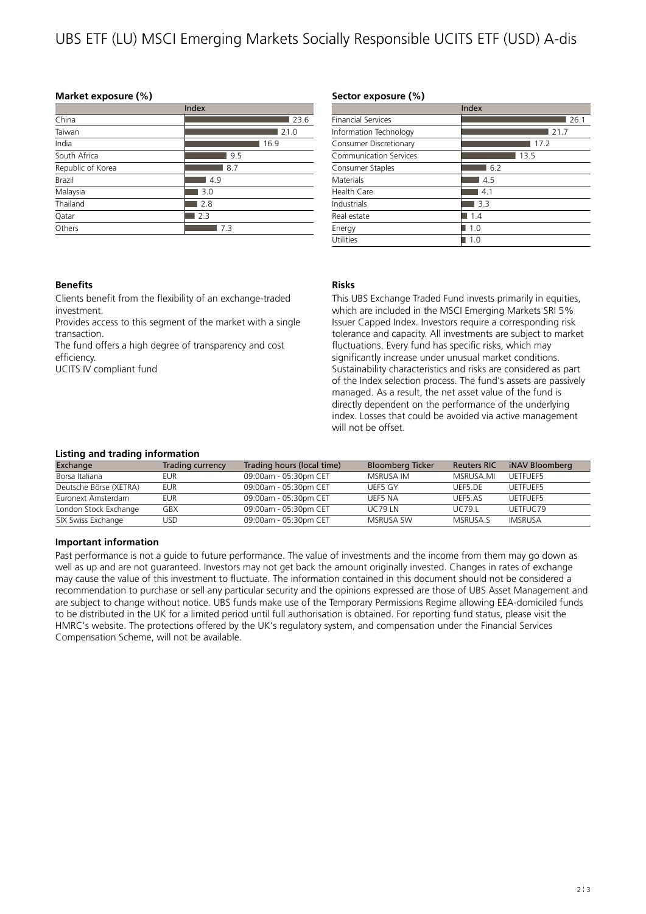# UBS ETF (LU) MSCI Emerging Markets Socially Responsible UCITS ETF (USD) A-dis

# **Market exposure (%)**

|                   | Index |
|-------------------|-------|
| China             | 23.6  |
| Taiwan            | 21.0  |
| India             | 16.9  |
| South Africa      | 9.5   |
| Republic of Korea | 8.7   |
| Brazil            | 4.9   |
| Malaysia          | 3.0   |
| Thailand          | 2.8   |
| Qatar             | 2.3   |
| Others            | 7.3   |
|                   |       |

## **Sector exposure (%)**

|                               | Index |
|-------------------------------|-------|
| <b>Financial Services</b>     | 26.1  |
| Information Technology        | 21.7  |
| Consumer Discretionary        | 17.2  |
| <b>Communication Services</b> | 13.5  |
| Consumer Staples              | 6.2   |
| <b>Materials</b>              | 4.5   |
| Health Care                   | 4.1   |
| Industrials                   | 3.3   |
| Real estate                   | 1.4   |
| Energy                        | 1.0   |
| Utilities                     | 1.0   |

# **Benefits**

Clients benefit from the flexibility of an exchange-traded investment.

Provides access to this segment of the market with a single transaction.

The fund offers a high degree of transparency and cost efficiency.

UCITS IV compliant fund

# **Risks**

This UBS Exchange Traded Fund invests primarily in equities, which are included in the MSCI Emerging Markets SRI 5% Issuer Capped Index. Investors require a corresponding risk tolerance and capacity. All investments are subject to market fluctuations. Every fund has specific risks, which may significantly increase under unusual market conditions. Sustainability characteristics and risks are considered as part of the Index selection process. The fund's assets are passively managed. As a result, the net asset value of the fund is directly dependent on the performance of the underlying index. Losses that could be avoided via active management will not be offset.

## **Listing and trading information**

| Exchange               | Trading currency | Trading hours (local time) | <b>Bloomberg Ticker</b> | <b>Reuters RIC</b> | iNAV Bloomberg |
|------------------------|------------------|----------------------------|-------------------------|--------------------|----------------|
| Borsa Italiana         | eur              | 09:00am - 05:30pm CET      | MSRUSA IM               | MSRUSA.MI          | UFTFUFF5       |
| Deutsche Börse (XETRA) | EUR              | 09:00am - 05:30pm CET      | UEF5 GY                 | UFF5.DF            | UETFUEF5       |
| Euronext Amsterdam     | EUR              | 09:00am - 05:30pm CET      | UFF5 NA                 | UFF5.AS            | UFTFUFF5       |
| London Stock Exchange  | GBX              | 09:00am - 05:30pm CET      | <b>UC79 IN</b>          | UC79.I             | UFTFUC79       |
| SIX Swiss Exchange     | JSD              | 09:00am - 05:30pm CET      | <b>MSRUSA SW</b>        | MSRUSA S           | IMSRUSA        |

## **Important information**

Past performance is not a guide to future performance. The value of investments and the income from them may go down as well as up and are not guaranteed. Investors may not get back the amount originally invested. Changes in rates of exchange may cause the value of this investment to fluctuate. The information contained in this document should not be considered a recommendation to purchase or sell any particular security and the opinions expressed are those of UBS Asset Management and are subject to change without notice. UBS funds make use of the Temporary Permissions Regime allowing EEA-domiciled funds to be distributed in the UK for a limited period until full authorisation is obtained. For reporting fund status, please visit the HMRC's website. The protections offered by the UK's regulatory system, and compensation under the Financial Services Compensation Scheme, will not be available.